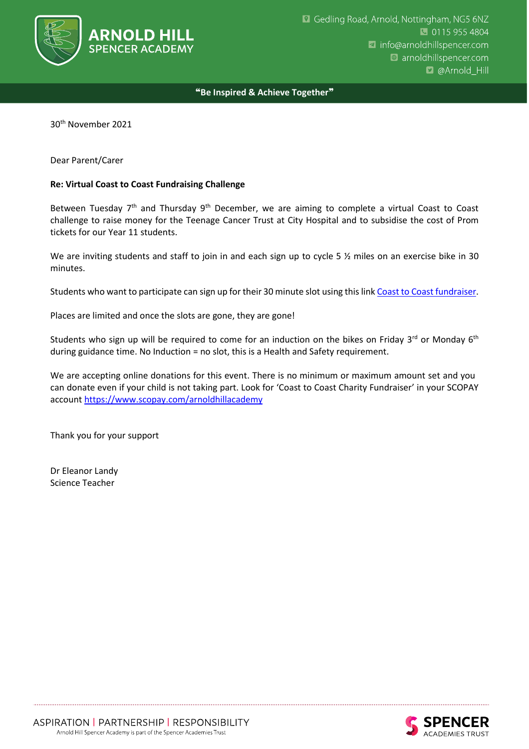

### ❝**Be Inspired & Achieve Together**❞

30th November 2021

Dear Parent/Carer

#### **Re: Virtual Coast to Coast Fundraising Challenge**

Between Tuesday 7<sup>th</sup> and Thursday 9<sup>th</sup> December, we are aiming to complete a virtual Coast to Coast challenge to raise money for the Teenage Cancer Trust at City Hospital and to subsidise the cost of Prom tickets for our Year 11 students.

We are inviting students and staff to join in and each sign up to cycle 5 % miles on an exercise bike in 30 minutes.

Students who want to participate can sign up for their 30 minute slot using this link [Coast to Coast fundraiser.](https://forms.gle/CN6EeXHmKUmfVwMm7)

Places are limited and once the slots are gone, they are gone!

Students who sign up will be required to come for an induction on the bikes on Friday 3<sup>rd</sup> or Monday 6<sup>th</sup> during guidance time. No Induction = no slot, this is a Health and Safety requirement.

We are accepting online donations for this event. There is no minimum or maximum amount set and you can donate even if your child is not taking part. Look for 'Coast to Coast Charity Fundraiser' in your SCOPAY account [https](file://///AH-Share.discover.gsft/Support/@GMT-2021.11.30-07.00.51/Office/ADMIN/MESSAGES%20FORMS%20LETTERHEADS/https)[://www.scopay.com/arnoldhillacademy](https://www.scopay.com/arnoldhillacademy)

Thank you for your support

Dr Eleanor Landy Science Teacher

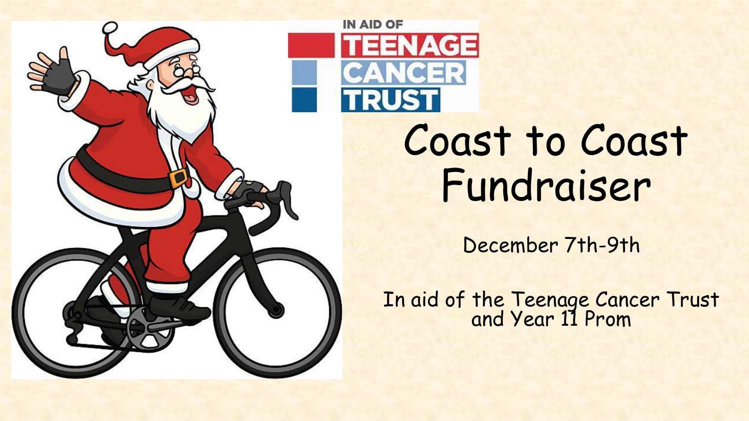

# Coast to Coast Fundraiser

NAGE

December 7th-9th

In aid of the Teenage Cancer Trust and Year 11 Prom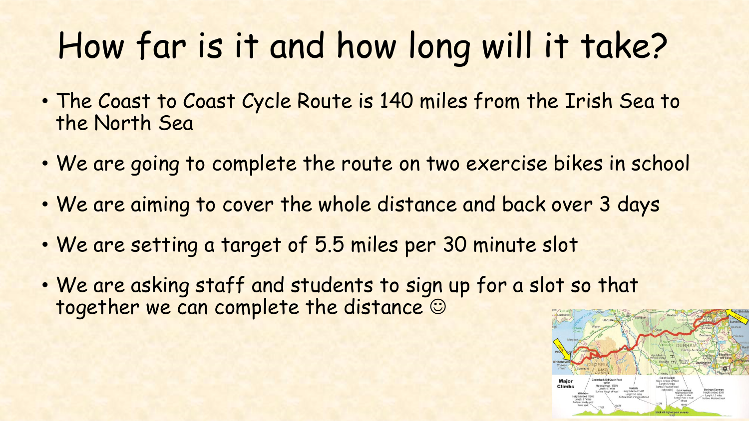## How far is it and how long will it take?

- The Coast to Coast Cycle Route is 140 miles from the Irish Sea to the North Sea
- We are going to complete the route on two exercise bikes in school
- We are aiming to cover the whole distance and back over 3 days
- We are setting a target of 5.5 miles per 30 minute slot
- We are asking staff and students to sign up for a slot so that together we can complete the distance  $\odot$